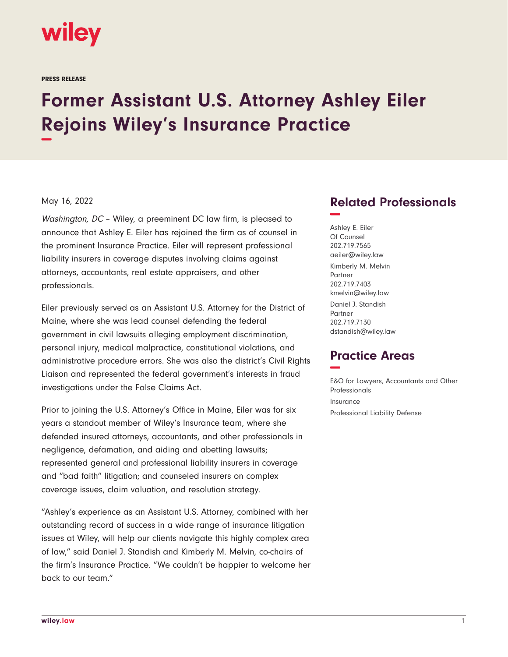

PRESS RELEASE

## **Former Assistant U.S. Attorney Ashley Eiler Rejoins Wiley's Insurance Practice −**

## May 16, 2022

Washington, DC - Wiley, a preeminent DC law firm, is pleased to announce that Ashley E. Eiler has rejoined the firm as of counsel in the prominent Insurance Practice. Eiler will represent professional liability insurers in coverage disputes involving claims against attorneys, accountants, real estate appraisers, and other professionals.

Eiler previously served as an Assistant U.S. Attorney for the District of Maine, where she was lead counsel defending the federal government in civil lawsuits alleging employment discrimination, personal injury, medical malpractice, constitutional violations, and administrative procedure errors. She was also the district's Civil Rights Liaison and represented the federal government's interests in fraud investigations under the False Claims Act.

Prior to joining the U.S. Attorney's Office in Maine, Eiler was for six years a standout member of Wiley's Insurance team, where she defended insured attorneys, accountants, and other professionals in negligence, defamation, and aiding and abetting lawsuits; represented general and professional liability insurers in coverage and "bad faith" litigation; and counseled insurers on complex coverage issues, claim valuation, and resolution strategy.

"Ashley's experience as an Assistant U.S. Attorney, combined with her outstanding record of success in a wide range of insurance litigation issues at Wiley, will help our clients navigate this highly complex area of law," said Daniel J. Standish and Kimberly M. Melvin, co-chairs of the firm's Insurance Practice. "We couldn't be happier to welcome her back to our team."

## **Related Professionals −**

Ashley E. Eiler Of Counsel 202.719.7565 aeiler@wiley.law Kimberly M. Melvin Partner 202.719.7403 kmelvin@wiley.law Daniel J. Standish Partner 202.719.7130 dstandish@wiley.law

## **Practice Areas −**

E&O for Lawyers, Accountants and Other Professionals Insurance Professional Liability Defense